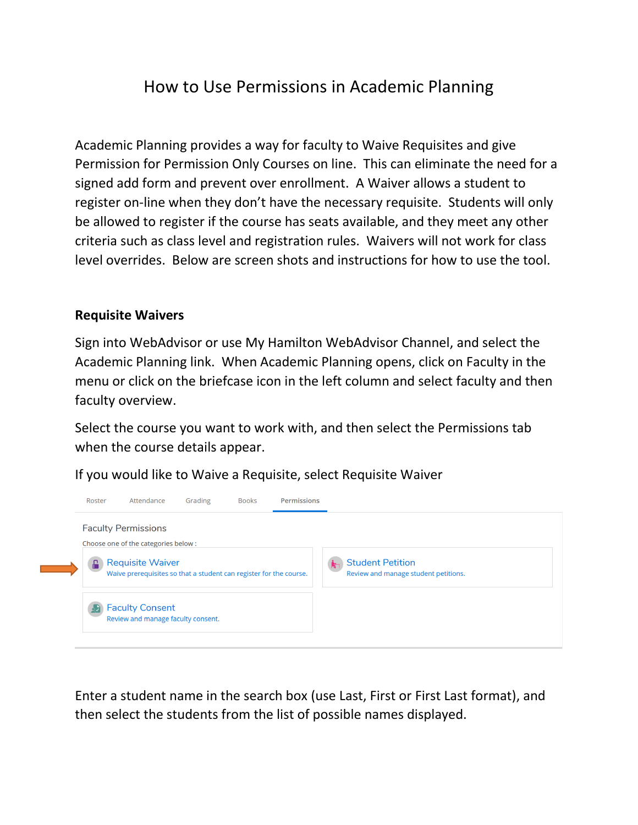## How to Use Permissions in Academic Planning

Academic Planning provides a way for faculty to Waive Requisites and give Permission for Permission Only Courses on line. This can eliminate the need for a signed add form and prevent over enrollment. A Waiver allows a student to register on-line when they don't have the necessary requisite. Students will only be allowed to register if the course has seats available, and they meet any other criteria such as class level and registration rules. Waivers will not work for class level overrides. Below are screen shots and instructions for how to use the tool.

## **Requisite Waivers**

Sign into WebAdvisor or use My Hamilton WebAdvisor Channel, and select the Academic Planning link. When Academic Planning opens, click on Faculty in the menu or click on the briefcase icon in the left column and select faculty and then faculty overview.

Select the course you want to work with, and then select the Permissions tab when the course details appear.

If you would like to Waive a Requisite, select Requisite Waiver



Enter a student name in the search box (use Last, First or First Last format), and then select the students from the list of possible names displayed.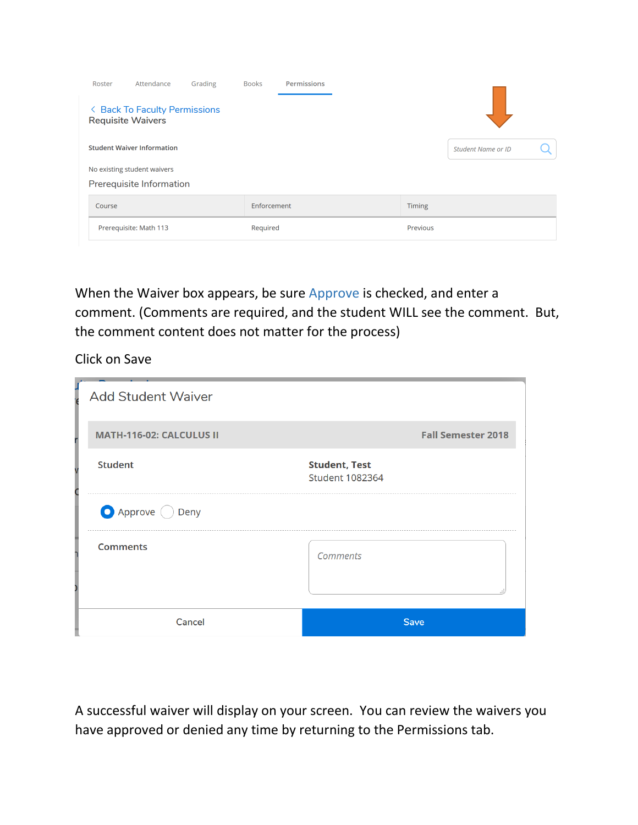| Roster                             | Attendance                        | Grading | <b>Books</b> | <b>Permissions</b> |               |                           |  |
|------------------------------------|-----------------------------------|---------|--------------|--------------------|---------------|---------------------------|--|
| <b>Requisite Waivers</b>           | < Back To Faculty Permissions     |         |              |                    |               |                           |  |
|                                    | <b>Student Waiver Information</b> |         |              |                    |               | <b>Student Name or ID</b> |  |
|                                    | No existing student waivers       |         |              |                    |               |                           |  |
|                                    | Prerequisite Information          |         |              |                    |               |                           |  |
| Course                             |                                   |         | Enforcement  |                    | <b>Timing</b> |                           |  |
| Prerequisite: Math 113<br>Required |                                   |         |              |                    | Previous      |                           |  |

When the Waiver box appears, be sure Approve is checked, and enter a comment. (Comments are required, and the student WILL see the comment. But, the comment content does not matter for the process)

Click on Save

| <b>Add Student Waiver</b>       |                                                |
|---------------------------------|------------------------------------------------|
| <b>MATH-116-02: CALCULUS II</b> | <b>Fall Semester 2018</b>                      |
| <b>Student</b>                  | <b>Student, Test</b><br><b>Student 1082364</b> |
| Approve Deny                    |                                                |
| <b>Comments</b>                 | <b>Comments</b>                                |
| Cancel                          | <b>Save</b>                                    |

A successful waiver will display on your screen. You can review the waivers you have approved or denied any time by returning to the Permissions tab.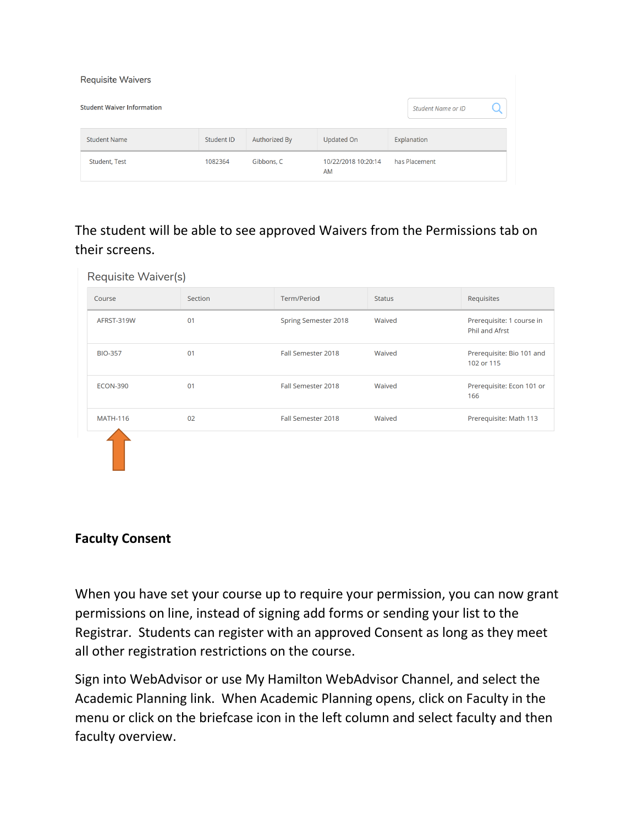| <b>Requisite Waivers</b>          |            |               |                           |                    |  |  |  |  |
|-----------------------------------|------------|---------------|---------------------------|--------------------|--|--|--|--|
| <b>Student Waiver Information</b> |            |               |                           | Student Name or ID |  |  |  |  |
| <b>Student Name</b>               | Student ID | Authorized By | Updated On                | Explanation        |  |  |  |  |
| Student, Test                     | 1082364    | Gibbons, C    | 10/22/2018 10:20:14<br>AM | has Placement      |  |  |  |  |

The student will be able to see approved Waivers from the Permissions tab on their screens.

| Requisite Waiver(s) |         |                      |               |                                                    |
|---------------------|---------|----------------------|---------------|----------------------------------------------------|
| Course              | Section | Term/Period          | <b>Status</b> | Requisites                                         |
| AFRST-319W          | 01      | Spring Semester 2018 | Waived        | Prerequisite: 1 course in<br><b>Phil and Afrst</b> |
| <b>BIO-357</b>      | 01      | Fall Semester 2018   | Waived        | Prerequisite: Bio 101 and<br>102 or 115            |
| <b>ECON-390</b>     | 01      | Fall Semester 2018   | Waived        | Prerequisite: Econ 101 or<br>166                   |
| <b>MATH-116</b>     | 02      | Fall Semester 2018   | Waived        | Prerequisite: Math 113                             |
|                     |         |                      |               |                                                    |

## **Faculty Consent**

When you have set your course up to require your permission, you can now grant permissions on line, instead of signing add forms or sending your list to the Registrar. Students can register with an approved Consent as long as they meet all other registration restrictions on the course.

Sign into WebAdvisor or use My Hamilton WebAdvisor Channel, and select the Academic Planning link. When Academic Planning opens, click on Faculty in the menu or click on the briefcase icon in the left column and select faculty and then faculty overview.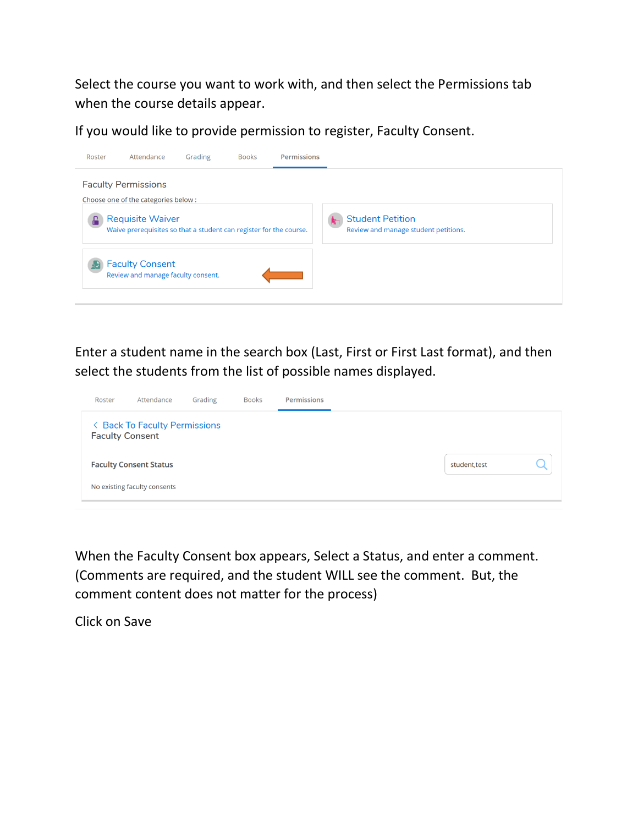Select the course you want to work with, and then select the Permissions tab when the course details appear.

If you would like to provide permission to register, Faculty Consent.



Enter a student name in the search box (Last, First or First Last format), and then select the students from the list of possible names displayed.

| Roster                                                  | Attendance                    | Grading | <b>Books</b> | Permissions |  |  |  |               |  |  |
|---------------------------------------------------------|-------------------------------|---------|--------------|-------------|--|--|--|---------------|--|--|
| < Back To Faculty Permissions<br><b>Faculty Consent</b> |                               |         |              |             |  |  |  |               |  |  |
|                                                         | <b>Faculty Consent Status</b> |         |              |             |  |  |  | student, test |  |  |
|                                                         | No existing faculty consents  |         |              |             |  |  |  |               |  |  |

When the Faculty Consent box appears, Select a Status, and enter a comment. (Comments are required, and the student WILL see the comment. But, the comment content does not matter for the process)

Click on Save